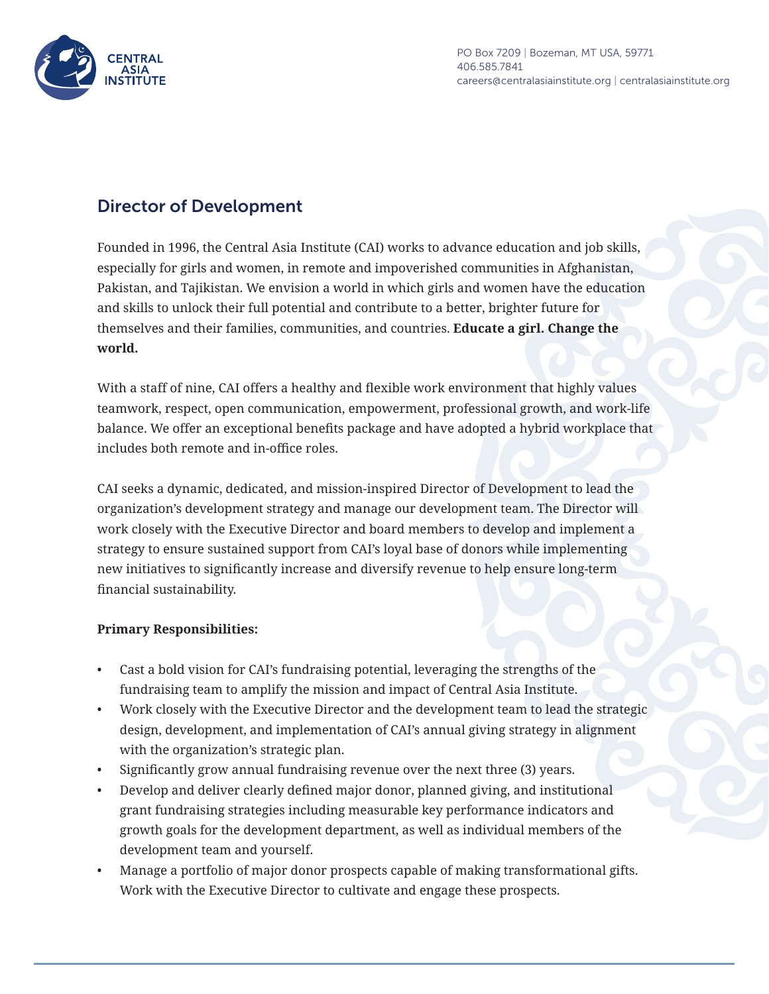

PO Box 7209 | Bozeman, MT USA, 59771 406.585.7841 careers@centralasiainstitute.org | centralasiainstitute.org

# Director of Development

Founded in 1996, the Central Asia Institute (CAI) works to advance education and job skills, especially for girls and women, in remote and impoverished communities in Afghanistan, Pakistan, and Tajikistan. We envision a world in which girls and women have the education and skills to unlock their full potential and contribute to a better, brighter future for themselves and their families, communities, and countries. **Educate a girl. Change the world.** 

With a staff of nine, CAI offers a healthy and flexible work environment that highly values teamwork, respect, open communication, empowerment, professional growth, and work-life balance. We offer an exceptional benefits package and have adopted a hybrid workplace that includes both remote and in-office roles.

CAI seeks a dynamic, dedicated, and mission-inspired Director of Development to lead the organization's development strategy and manage our development team. The Director will work closely with the Executive Director and board members to develop and implement a strategy to ensure sustained support from CAI's loyal base of donors while implementing new initiatives to significantly increase and diversify revenue to help ensure long-term financial sustainability.

### **Primary Responsibilities:**

- Cast a bold vision for CAI's fundraising potential, leveraging the strengths of the fundraising team to amplify the mission and impact of Central Asia Institute.
- Work closely with the Executive Director and the development team to lead the strategic design, development, and implementation of CAI's annual giving strategy in alignment with the organization's strategic plan.
- Significantly grow annual fundraising revenue over the next three (3) years.
- Develop and deliver clearly defined major donor, planned giving, and institutional grant fundraising strategies including measurable key performance indicators and growth goals for the development department, as well as individual members of the development team and yourself.
- Manage a portfolio of major donor prospects capable of making transformational gifts. Work with the Executive Director to cultivate and engage these prospects.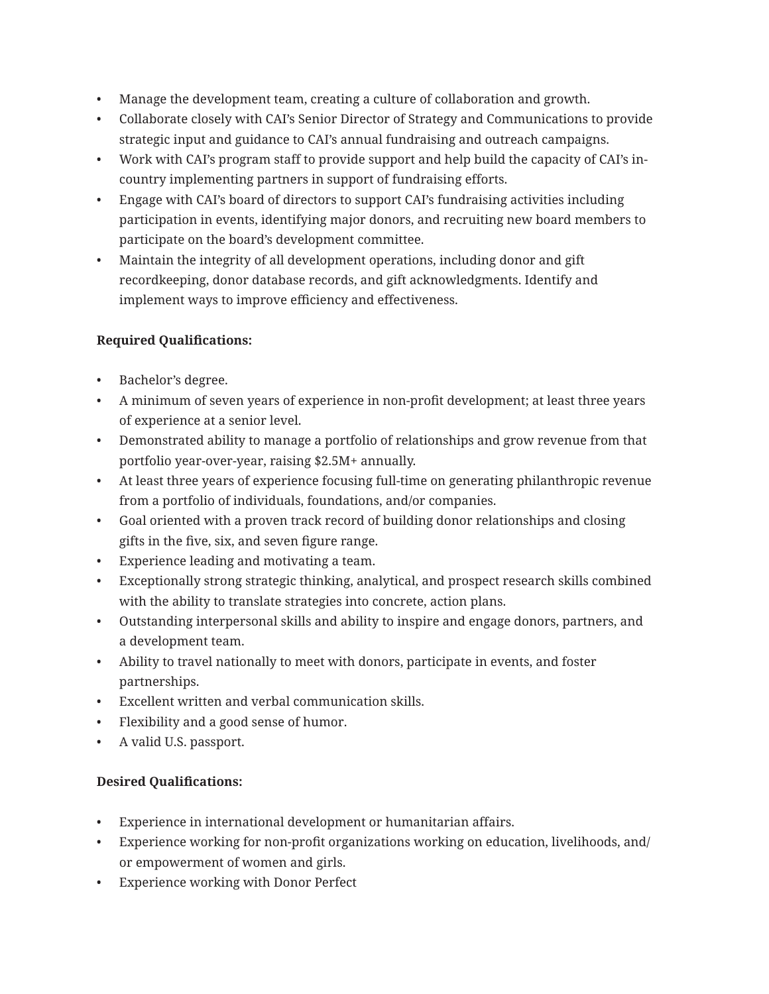- Manage the development team, creating a culture of collaboration and growth.
- Collaborate closely with CAI's Senior Director of Strategy and Communications to provide strategic input and guidance to CAI's annual fundraising and outreach campaigns.
- Work with CAI's program staff to provide support and help build the capacity of CAI's incountry implementing partners in support of fundraising efforts.
- Engage with CAI's board of directors to support CAI's fundraising activities including participation in events, identifying major donors, and recruiting new board members to participate on the board's development committee.
- Maintain the integrity of all development operations, including donor and gift recordkeeping, donor database records, and gift acknowledgments. Identify and implement ways to improve efficiency and effectiveness.

# **Required Qualifications:**

- Bachelor's degree.
- A minimum of seven years of experience in non-profit development; at least three years of experience at a senior level.
- Demonstrated ability to manage a portfolio of relationships and grow revenue from that portfolio year-over-year, raising \$2.5M+ annually.
- At least three years of experience focusing full-time on generating philanthropic revenue from a portfolio of individuals, foundations, and/or companies.
- Goal oriented with a proven track record of building donor relationships and closing gifts in the five, six, and seven figure range.
- Experience leading and motivating a team.
- Exceptionally strong strategic thinking, analytical, and prospect research skills combined with the ability to translate strategies into concrete, action plans.
- Outstanding interpersonal skills and ability to inspire and engage donors, partners, and a development team.
- Ability to travel nationally to meet with donors, participate in events, and foster partnerships.
- Excellent written and verbal communication skills.
- Flexibility and a good sense of humor.
- A valid U.S. passport.

# **Desired Qualifications:**

- Experience in international development or humanitarian affairs.
- Experience working for non-profit organizations working on education, livelihoods, and/ or empowerment of women and girls.
- Experience working with Donor Perfect